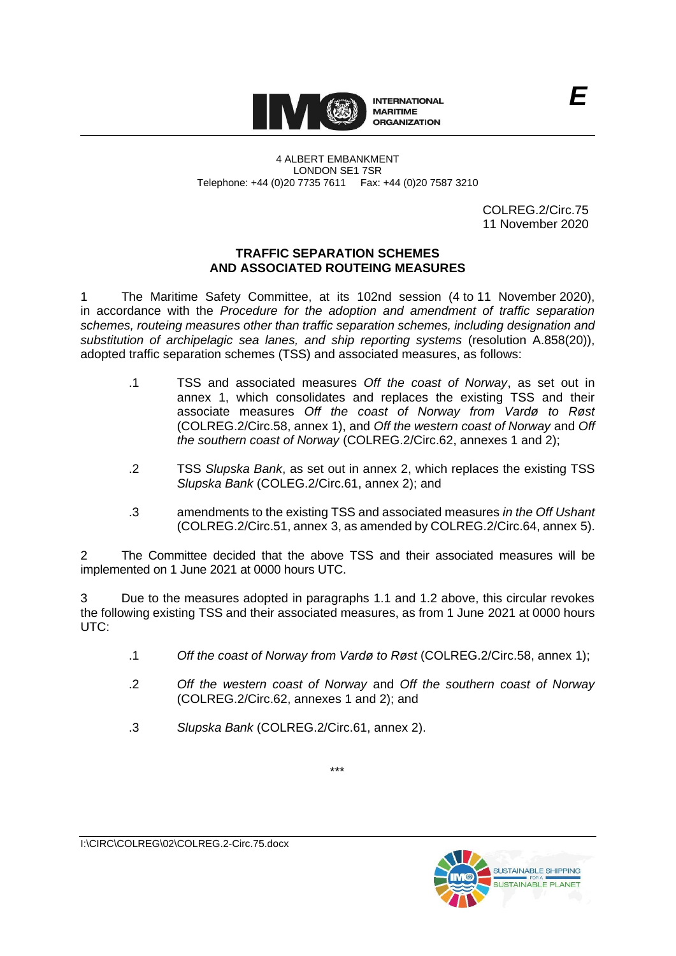

4 ALBERT EMBANKMENT LONDON SE1 7SR Telephone: +44 (0)20 7735 7611 Fax: +44 (0)20 7587 3210

> COLREG.2/Circ.75 11 November 2020

# **TRAFFIC SEPARATION SCHEMES AND ASSOCIATED ROUTEING MEASURES**

1 The Maritime Safety Committee, at its 102nd session (4 to 11 November 2020), in accordance with the *Procedure for the adoption and amendment of traffic separation schemes, routeing measures other than traffic separation schemes, including designation and substitution of archipelagic sea lanes, and ship reporting systems* (resolution A.858(20)), adopted traffic separation schemes (TSS) and associated measures, as follows:

- .1 TSS and associated measures *Off the coast of Norway*, as set out in annex 1, which consolidates and replaces the existing TSS and their associate measures *Off the coast of Norway from Vardø to Røst* (COLREG.2/Circ.58, annex 1), and *Off the western coast of Norway* and *Off the southern coast of Norway* (COLREG.2/Circ.62, annexes 1 and 2);
- .2 TSS *Slupska Bank*, as set out in annex 2, which replaces the existing TSS *Slupska Bank* (COLEG.2/Circ.61, annex 2); and
- .3 amendments to the existing TSS and associated measures *in the Off Ushant* (COLREG.2/Circ.51, annex 3, as amended by COLREG.2/Circ.64, annex 5).

2 The Committee decided that the above TSS and their associated measures will be implemented on 1 June 2021 at 0000 hours UTC.

3 Due to the measures adopted in paragraphs 1.1 and 1.2 above, this circular revokes the following existing TSS and their associated measures, as from 1 June 2021 at 0000 hours UTC:

\*\*\*

- .1 *Off the coast of Norway from Vardø to Røst* (COLREG.2/Circ.58, annex 1);
- .2 *Off the western coast of Norway* and *Off the southern coast of Norway* (COLREG.2/Circ.62, annexes 1 and 2); and
- .3 *Slupska Bank* (COLREG.2/Circ.61, annex 2).

I:\CIRC\COLREG\02\COLREG.2-Circ.75.docx

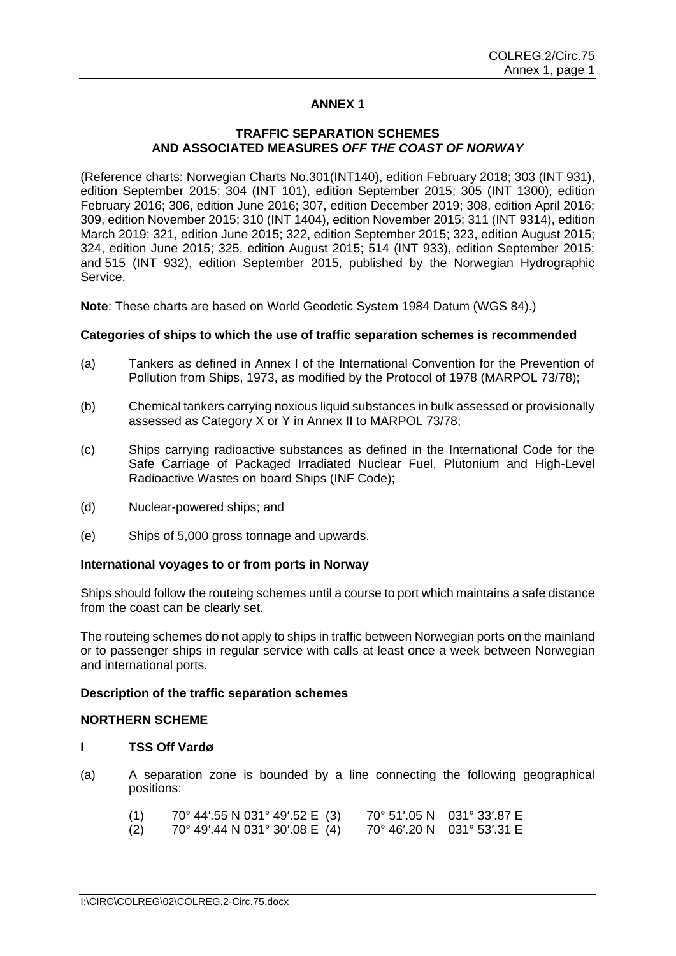# **ANNEX 1**

# **TRAFFIC SEPARATION SCHEMES AND ASSOCIATED MEASURES** *OFF THE COAST OF NORWAY*

(Reference charts: Norwegian Charts No.301(INT140), edition February 2018; 303 (INT 931), edition September 2015; 304 (INT 101), edition September 2015; 305 (INT 1300), edition February 2016; 306, edition June 2016; 307, edition December 2019; 308, edition April 2016; 309, edition November 2015; 310 (INT 1404), edition November 2015; 311 (INT 9314), edition March 2019; 321, edition June 2015; 322, edition September 2015; 323, edition August 2015; 324, edition June 2015; 325, edition August 2015; 514 (INT 933), edition September 2015; and 515 (INT 932), edition September 2015, published by the Norwegian Hydrographic Service.

**Note**: These charts are based on World Geodetic System 1984 Datum (WGS 84).)

# **Categories of ships to which the use of traffic separation schemes is recommended**

- (a) Tankers as defined in Annex I of the International Convention for the Prevention of Pollution from Ships, 1973, as modified by the Protocol of 1978 (MARPOL 73/78);
- (b) Chemical tankers carrying noxious liquid substances in bulk assessed or provisionally assessed as Category X or Y in Annex II to MARPOL 73/78;
- (c) Ships carrying radioactive substances as defined in the International Code for the Safe Carriage of Packaged Irradiated Nuclear Fuel, Plutonium and High-Level Radioactive Wastes on board Ships (INF Code);
- (d) Nuclear-powered ships; and
- (e) Ships of 5,000 gross tonnage and upwards.

### **International voyages to or from ports in Norway**

Ships should follow the routeing schemes until a course to port which maintains a safe distance from the coast can be clearly set.

The routeing schemes do not apply to ships in traffic between Norwegian ports on the mainland or to passenger ships in regular service with calls at least once a week between Norwegian and international ports.

#### **Description of the traffic separation schemes**

#### **NORTHERN SCHEME**

#### **I TSS Off Vardø**

(a) A separation zone is bounded by a line connecting the following geographical positions:

| (1) | 70° 44'.55 N 031° 49'.52 E (3)          | 70° 51'05 N 031° 33'87 E   |
|-----|-----------------------------------------|----------------------------|
| (2) | $70^{\circ}$ 49'.44 N 031° 30'.08 E (4) | 70° 46'.20 N 031° 53'.31 E |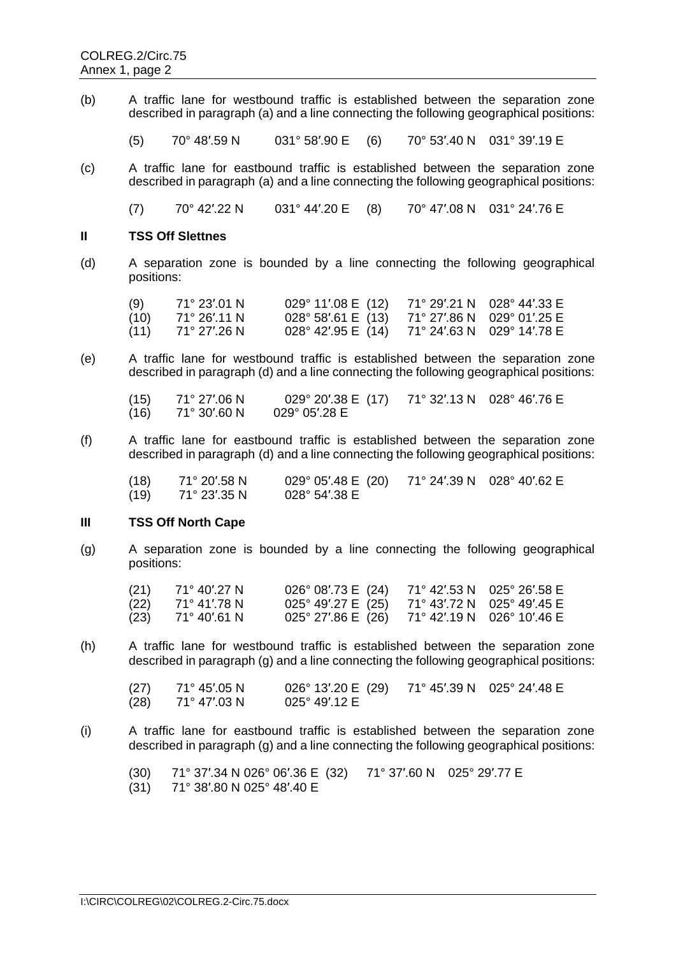(b) A traffic lane for westbound traffic is established between the separation zone described in paragraph (a) and a line connecting the following geographical positions:

(5) 70° 48′.59 N 031° 58′.90 E (6) 70° 53′.40 N 031° 39′.19 E

(c) A traffic lane for eastbound traffic is established between the separation zone described in paragraph (a) and a line connecting the following geographical positions:

(7) 70° 42′.22 N 031° 44′.20 E (8) 70° 47′.08 N 031° 24′.76 E

### **II TSS Off Slettnes**

(d) A separation zone is bounded by a line connecting the following geographical positions:

| (9)  | 71° 23'.01 N | $029^{\circ}$ 11'.08 E (12) | 71° 29'.21 N 028° 44'.33 E |
|------|--------------|-----------------------------|----------------------------|
| (10) | 71° 26'.11 N | $028^{\circ}$ 58'.61 E (13) | 71° 27'.86 N 029° 01'.25 E |
| (11) | 71° 27'.26 N | $028^{\circ}$ 42'.95 E (14) | 71° 24′.63 N 029° 14′.78 E |

(e) A traffic lane for westbound traffic is established between the separation zone described in paragraph (d) and a line connecting the following geographical positions:

(15) 71° 27′.06 N 029° 20′.38 E (17) 71° 32′.13 N 028° 46′.76 E  $71^\circ$  30'.60 N

(f) A traffic lane for eastbound traffic is established between the separation zone described in paragraph (d) and a line connecting the following geographical positions:

| (18) | 71° 20′.58 N | $029^{\circ}$ 05'.48 E (20) | 71° 24'.39 N 028° 40'.62 E |
|------|--------------|-----------------------------|----------------------------|
| (19) | 71° 23′.35 N | 028° 54′.38 E               |                            |

### **III TSS Off North Cape**

(g) A separation zone is bounded by a line connecting the following geographical positions:

| (21) | 71° 40′.27 N | $026^{\circ}$ 08'.73 E (24) | 71° 42′.53 N 025° 26′.58 E |
|------|--------------|-----------------------------|----------------------------|
| (22) | 71° 41′ 78 N | $025^{\circ}$ 49'.27 E (25) | 71° 43'.72 N 025° 49'.45 E |
| (23) | 71° 40′ 61 N | $025^{\circ}$ 27'.86 E (26) | 71° 42'.19 N 026° 10'.46 E |

(h) A traffic lane for westbound traffic is established between the separation zone described in paragraph (g) and a line connecting the following geographical positions:

| (27) | 71° 45'.05 N | $026^{\circ}$ 13'.20 E (29) | 71° 45′.39 N 025° 24′.48 E |  |
|------|--------------|-----------------------------|----------------------------|--|
| (28) | 71° 47′.03 N | $025^{\circ}$ 49'.12 E      |                            |  |

(i) A traffic lane for eastbound traffic is established between the separation zone described in paragraph (g) and a line connecting the following geographical positions:

(30) 71° 37′.34 N 026° 06′.36 E (32) 71° 37′.60 N 025° 29′.77 E

(31) 71° 38′.80 N 025° 48′.40 E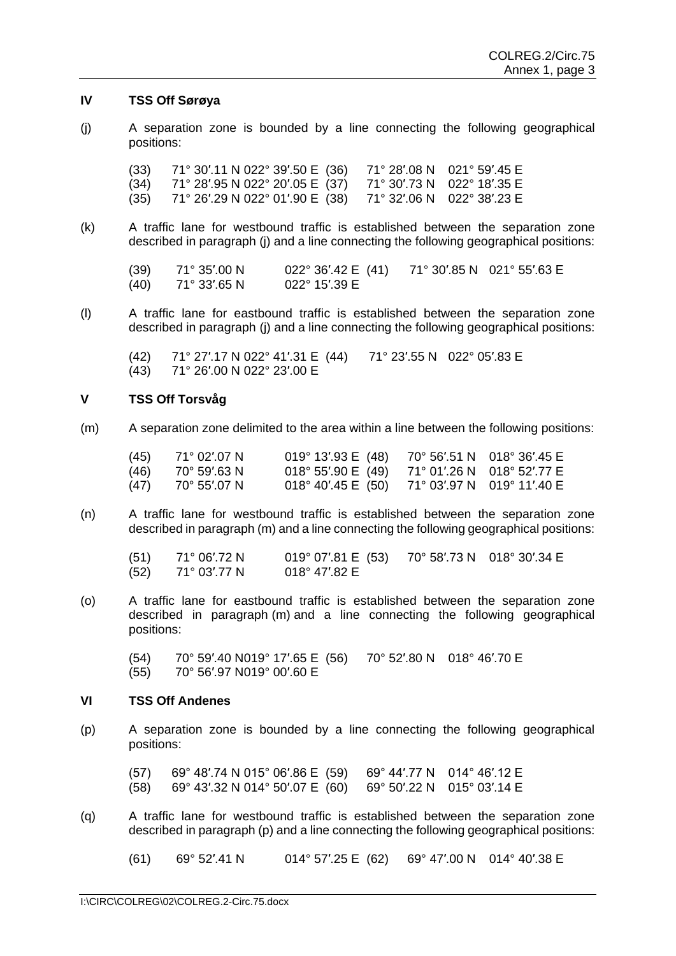#### **IV TSS Off Sørøya**

(j) A separation zone is bounded by a line connecting the following geographical positions:

(33) 71° 30′.11 N 022° 39′.50 E (36) 71° 28′.08 N 021° 59′.45 E  $(34)$  71° 28'.95 N 022° 20'.05 E  $(37)$ (35) 71° 26′.29 N 022° 01′.90 E (38) 71° 32′.06 N 022° 38′.23 E

(k) A traffic lane for westbound traffic is established between the separation zone described in paragraph (j) and a line connecting the following geographical positions:

(39)  $71^{\circ}$  35'.00 N  $022^{\circ}$  36'.42 E (41)  $71^{\circ}$  30'.85 N 021° 55'.63 E (40)  $71^{\circ}$  33'.65 N  $022^{\circ}$  15'.39 E  $71° 33'65 N$ 

(l) A traffic lane for eastbound traffic is established between the separation zone described in paragraph (j) and a line connecting the following geographical positions:

(42) 71° 27′.17 N 022° 41′.31 E (44) 71° 23′.55 N 022° 05′.83 E (43) 71° 26′.00 N 022° 23′.00 E

#### **V TSS Off Torsvåg**

(m) A separation zone delimited to the area within a line between the following positions:

| (45) | 71° 02' 07 N | $019^{\circ}$ 13'.93 E (48)                   | 70° 56'.51 N 018° 36'.45 E |
|------|--------------|-----------------------------------------------|----------------------------|
| (46) | 70° 59'.63 N | 018° 55'.90 E (49) 71° 01'.26 N 018° 52'.77 E |                            |
| (47) | 70° 55′.07 N | $018^{\circ}$ 40'.45 E (50)                   | 71° 03'.97 N 019° 11'.40 E |

(n) A traffic lane for westbound traffic is established between the separation zone described in paragraph (m) and a line connecting the following geographical positions:

(51) 71° 06′.72 N 019° 07′.81 E (53) 70° 58′.73 N 018° 30′.34 E (52) 71° 03′.77 N 018° 47′.82 E

(o) A traffic lane for eastbound traffic is established between the separation zone described in paragraph (m) and a line connecting the following geographical positions:

(54) 70° 59′.40 N019° 17′.65 E (56) 70° 52′.80 N 018° 46′.70 E (55) 70° 56′.97 N019° 00′.60 E

#### **VI TSS Off Andenes**

(p) A separation zone is bounded by a line connecting the following geographical positions:

(57) 69° 48′.74 N 015° 06′.86 E (59) 69° 44′.77 N 014° 46′.12 E (58) 69° 43′.32 N 014° 50′.07 E (60) 69° 50′.22 N 015° 03′.14 E

(q) A traffic lane for westbound traffic is established between the separation zone described in paragraph (p) and a line connecting the following geographical positions:

(61) 69° 52′.41 N 014° 57′.25 E (62) 69° 47′.00 N 014° 40′.38 E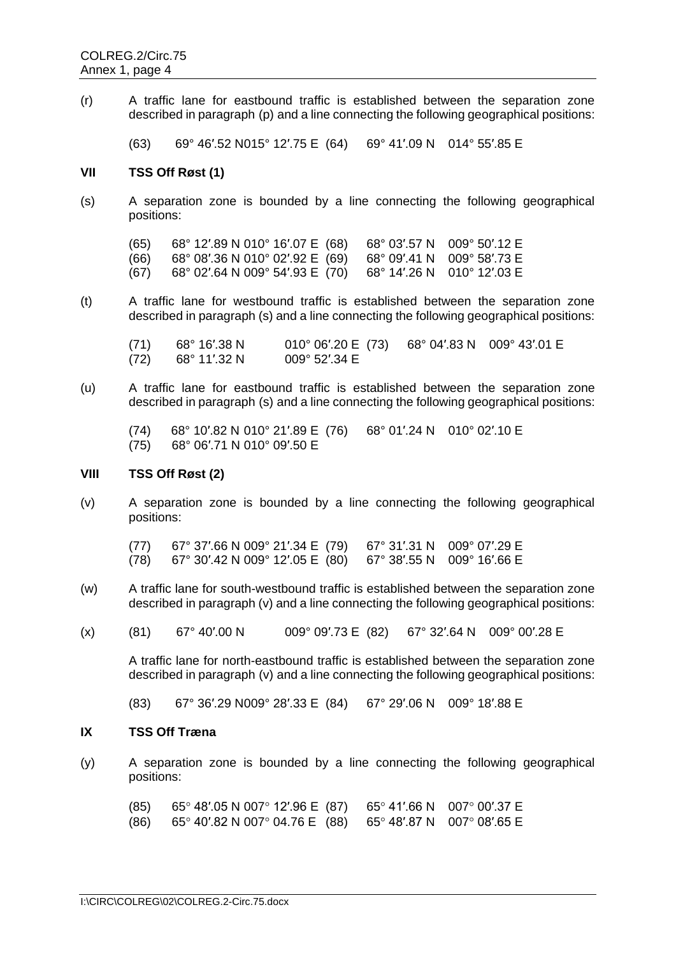(r) A traffic lane for eastbound traffic is established between the separation zone described in paragraph (p) and a line connecting the following geographical positions:

(63) 69° 46′.52 N015° 12′.75 E (64) 69° 41′.09 N 014° 55′.85 E

### **VII TSS Off Røst (1)**

(s) A separation zone is bounded by a line connecting the following geographical positions:

(65) 68° 12′.89 N 010° 16′.07 E (68) 68° 03′.57 N 009° 50′.12 E (66) 68° 08′.36 N 010° 02′.92 E (69) 68° 09′.41 N 009° 58′.73 E  $(67)$  68° 02'.64 N 009° 54'.93 E  $(70)$ 

(t) A traffic lane for westbound traffic is established between the separation zone described in paragraph (s) and a line connecting the following geographical positions:

(71) 68° 16′.38 N 010° 06′.20 E (73) 68° 04′.83 N 009° 43′.01 E<br>(72) 68° 11′.32 N 009° 52′.34 E  $(72)$  68° 11'.32 N

(u) A traffic lane for eastbound traffic is established between the separation zone described in paragraph (s) and a line connecting the following geographical positions:

(74) 68° 10′.82 N 010° 21′.89 E (76) 68° 01′.24 N 010° 02′.10 E (75) 68° 06′.71 N 010° 09′.50 E

#### **VIII TSS Off Røst (2)**

(v) A separation zone is bounded by a line connecting the following geographical positions:

(77) 67° 37′.66 N 009° 21′.34 E (79) 67° 31′.31 N 009° 07′.29 E (78) 67° 30′.42 N 009° 12′.05 E (80) 67° 38′.55 N 009° 16′.66 E

- (w) A traffic lane for south-westbound traffic is established between the separation zone described in paragraph (v) and a line connecting the following geographical positions:
- (x) (81) 67° 40'.00 N 009° 09'.73 E (82) 67° 32'.64 N 009° 00'.28 E

A traffic lane for north-eastbound traffic is established between the separation zone described in paragraph (v) and a line connecting the following geographical positions:

(83) 67° 36′.29 N009° 28′.33 E (84) 67° 29′.06 N 009° 18′.88 E

# **IX TSS Off Træna**

(y) A separation zone is bounded by a line connecting the following geographical positions:

| (85) | 65° 48′.05 N 007° 12′.96 E $(87)$ 65° 41′.66 N 007° 00′.37 E |  |
|------|--------------------------------------------------------------|--|
| (86) | 65° 40′.82 N 007° 04.76 E $(88)$ 65° 48′.87 N 007° 08′.65 E  |  |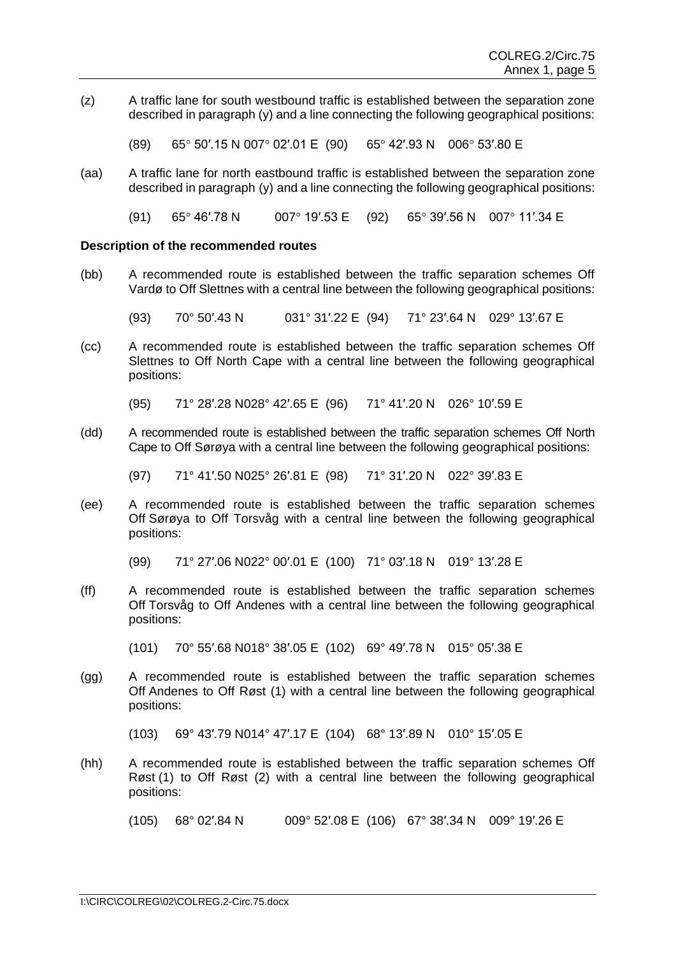(z) A traffic lane for south westbound traffic is established between the separation zone described in paragraph (y) and a line connecting the following geographical positions:

 $(89)$  65° 50'.15 N 007° 02'.01 E (90) 65° 42'.93 N 006° 53'.80 E

(aa) A traffic lane for north eastbound traffic is established between the separation zone described in paragraph (y) and a line connecting the following geographical positions:

(91) 65° 46'.78 N 007° 19'.53 E (92) 65° 39'.56 N 007° 11'.34 E

#### **Description of the recommended routes**

(bb) A recommended route is established between the traffic separation schemes Off Vardø to Off Slettnes with a central line between the following geographical positions:

(93) 70° 50′.43 N 031° 31′.22 E (94) 71° 23′.64 N 029° 13′.67 E

(cc) A recommended route is established between the traffic separation schemes Off Slettnes to Off North Cape with a central line between the following geographical positions:

(95) 71° 28′.28 N028° 42′.65 E (96) 71° 41′.20 N 026° 10′.59 E

(dd) A recommended route is established between the traffic separation schemes Off North Cape to Off Sørøya with a central line between the following geographical positions:

(97) 71° 41′.50 N025° 26′.81 E (98) 71° 31′.20 N 022° 39′.83 E

(ee) A recommended route is established between the traffic separation schemes Off Sørøya to Off Torsvåg with a central line between the following geographical positions:

(99) 71° 27′.06 N022° 00′.01 E (100) 71° 03′.18 N 019° 13′.28 E

(ff) A recommended route is established between the traffic separation schemes Off Torsvåg to Off Andenes with a central line between the following geographical positions:

(101) 70° 55′.68 N018° 38′.05 E (102) 69° 49′.78 N 015° 05′.38 E

(gg) A recommended route is established between the traffic separation schemes Off Andenes to Off Røst (1) with a central line between the following geographical positions:

```
(103) 69° 43′.79 N014° 47′.17 E (104) 68° 13′.89 N 010° 15′.05 E
```
(hh) A recommended route is established between the traffic separation schemes Off Røst (1) to Off Røst (2) with a central line between the following geographical positions:

(105) 68° 02′.84 N 009° 52′.08 E (106) 67° 38′.34 N 009° 19′.26 E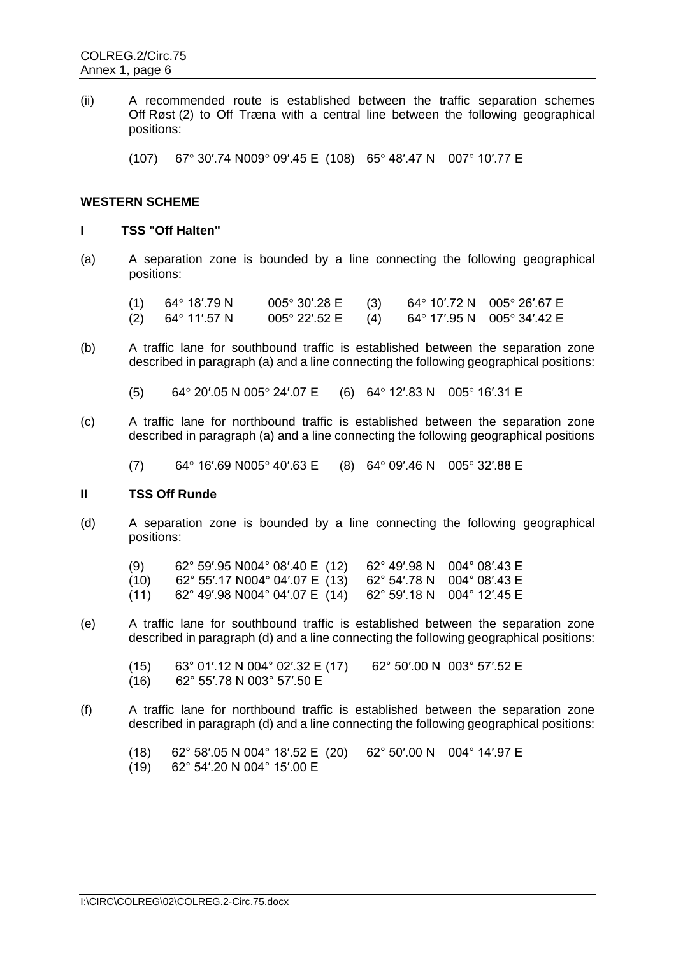(ii) A recommended route is established between the traffic separation schemes Off Røst (2) to Off Træna with a central line between the following geographical positions:

(107) 67° 30'.74 N009° 09'.45 E (108) 65° 48'.47 N 007° 10'.77 E

### **WESTERN SCHEME**

# **I TSS "Off Halten"**

(a) A separation zone is bounded by a line connecting the following geographical positions:

|     | $(1)$ 64° 18'.79 N | $0.05^{\circ}$ 30'.28 E (3) 64 $^{\circ}$ 10'.72 N 005 $^{\circ}$ 26'.67 E |                            |  |
|-----|--------------------|----------------------------------------------------------------------------|----------------------------|--|
| (2) | 64° 11′.57 N       | $005^{\circ}$ 22'.52 E (4)                                                 | 64° 17′.95 N 005° 34′.42 E |  |

- (b) A traffic lane for southbound traffic is established between the separation zone described in paragraph (a) and a line connecting the following geographical positions:
	- (5) 64° 20'.05 N 005° 24'.07 E (6) 64° 12'.83 N 005° 16'.31 E
- (c) A traffic lane for northbound traffic is established between the separation zone described in paragraph (a) and a line connecting the following geographical positions
	- (7) 64° 16'.69 N005° 40'.63 E (8) 64° 09'.46 N 005° 32'.88 E

# **II TSS Off Runde**

(d) A separation zone is bounded by a line connecting the following geographical positions:

| (9)  | $62^{\circ}$ 59'.95 N004 $^{\circ}$ 08'.40 E (12) |                            | 62° 49'.98 N 004° 08'.43 E                    |
|------|---------------------------------------------------|----------------------------|-----------------------------------------------|
| (10) | 62° 55'.17 N004° 04'.07 E (13)                    | 62° 54′.78 N 004° 08′.43 E |                                               |
| (11) | 62° 49'.98 N004° 04'.07 E (14)                    |                            | $62^{\circ}$ 59'.18 N 004 $^{\circ}$ 12'.45 E |

(e) A traffic lane for southbound traffic is established between the separation zone described in paragraph (d) and a line connecting the following geographical positions:

(15) 63° 01′.12 N 004° 02′.32 E (17) 62° 50′.00 N 003° 57′.52 E (16) 62° 55′.78 N 003° 57′.50 E

(f) A traffic lane for northbound traffic is established between the separation zone described in paragraph (d) and a line connecting the following geographical positions:

(18) 62° 58′.05 N 004° 18′.52 E (20) 62° 50′.00 N 004° 14′.97 E

 $(19)$  62° 54'.20 N 004° 15'.00 E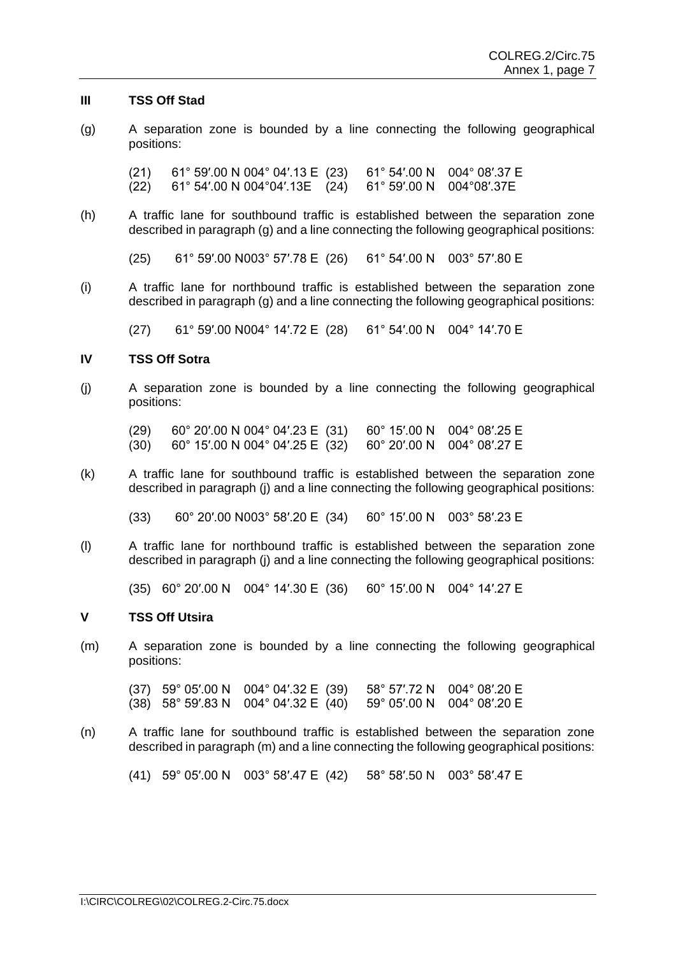#### **III TSS Off Stad**

(g) A separation zone is bounded by a line connecting the following geographical positions:

(21) 61° 59′.00 N 004° 04′.13 E (23) 61° 54′.00 N 004° 08′.37 E (22) 61° 54′.00 N 004°04′.13E (24) 61° 59′.00 N 004°08′.37E

(h) A traffic lane for southbound traffic is established between the separation zone described in paragraph (g) and a line connecting the following geographical positions:

(25) 61° 59′.00 N003° 57′.78 E (26) 61° 54′.00 N 003° 57′.80 E

(i) A traffic lane for northbound traffic is established between the separation zone described in paragraph (g) and a line connecting the following geographical positions:

(27) 61° 59′.00 N004° 14′.72 E (28) 61° 54′.00 N 004° 14′.70 E

### **IV TSS Off Sotra**

(j) A separation zone is bounded by a line connecting the following geographical positions:

(29) 60° 20′.00 N 004° 04′.23 E (31) 60° 15′.00 N 004° 08′.25 E (30) 60° 15′.00 N 004° 04′.25 E (32) 60° 20′.00 N 004° 08′.27 E

(k) A traffic lane for southbound traffic is established between the separation zone described in paragraph (j) and a line connecting the following geographical positions:

(33) 60° 20′.00 N003° 58′.20 E (34) 60° 15′.00 N 003° 58′.23 E

(l) A traffic lane for northbound traffic is established between the separation zone described in paragraph (j) and a line connecting the following geographical positions:

(35) 60° 20′.00 N 004° 14′.30 E (36) 60° 15′.00 N 004° 14′.27 E

### **V TSS Off Utsira**

(m) A separation zone is bounded by a line connecting the following geographical positions:

(37) 59° 05′.00 N 004° 04′.32 E (39) 58° 57′.72 N 004° 08′.20 E (38) 58° 59′.83 N 004° 04′.32 E (40) 59° 05′.00 N 004° 08′.20 E

(n) A traffic lane for southbound traffic is established between the separation zone described in paragraph (m) and a line connecting the following geographical positions:

(41) 59° 05′.00 N 003° 58′.47 E (42) 58° 58′.50 N 003° 58′.47 E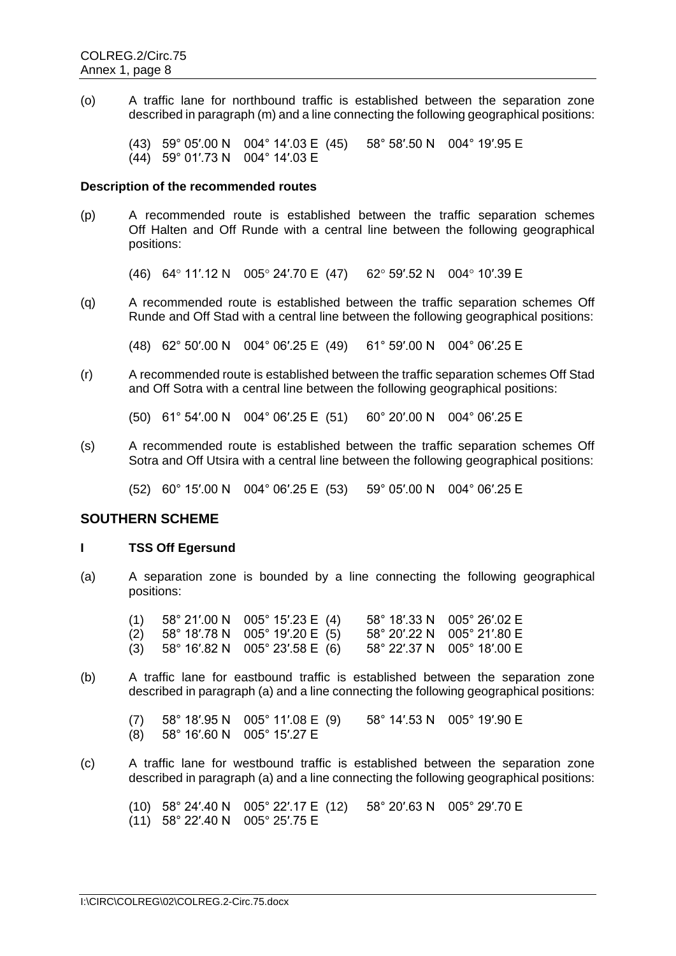(o) A traffic lane for northbound traffic is established between the separation zone described in paragraph (m) and a line connecting the following geographical positions:

(43) 59° 05′.00 N 004° 14′.03 E (45) 58° 58′.50 N 004° 19′.95 E (44) 59° 01′.73 N 004° 14′.03 E

#### **Description of the recommended routes**

- (p) A recommended route is established between the traffic separation schemes Off Halten and Off Runde with a central line between the following geographical positions:
	- (46) 64° 11'.12 N 005° 24'.70 E (47) 62° 59'.52 N 004° 10'.39 E
- (q) A recommended route is established between the traffic separation schemes Off Runde and Off Stad with a central line between the following geographical positions:

(48) 62° 50′.00 N 004° 06′.25 E (49) 61° 59′.00 N 004° 06′.25 E

(r) A recommended route is established between the traffic separation schemes Off Stad and Off Sotra with a central line between the following geographical positions:

(50) 61° 54′.00 N 004° 06′.25 E (51) 60° 20′.00 N 004° 06′.25 E

(s) A recommended route is established between the traffic separation schemes Off Sotra and Off Utsira with a central line between the following geographical positions:

(52) 60° 15′.00 N 004° 06′.25 E (53) 59° 05′.00 N 004° 06′.25 E

# **SOUTHERN SCHEME**

#### **I TSS Off Egersund**

(a) A separation zone is bounded by a line connecting the following geographical positions:

|  | $(1)$ 58° 21'.00 N 005° 15'.23 E (4)   | $58^{\circ}$ 18'.33 N 005 $^{\circ}$ 26'.02 E |
|--|----------------------------------------|-----------------------------------------------|
|  | $(2)$ 58° 18'.78 N 005° 19'.20 E (5)   | 58° 20'.22 N 005° 21'.80 E                    |
|  | $(3)$ 58° 16'.82 N 005° 23'.58 E $(6)$ | $58^{\circ}$ 22'.37 N 005 $^{\circ}$ 18'.00 E |

(b) A traffic lane for eastbound traffic is established between the separation zone described in paragraph (a) and a line connecting the following geographical positions:

(7) 58° 18′.95 N 005° 11′.08 E (9) 58° 14′.53 N 005° 19′.90 E (8) 58° 16′.60 N 005° 15′.27 E

(c) A traffic lane for westbound traffic is established between the separation zone described in paragraph (a) and a line connecting the following geographical positions:

(10) 58° 24′.40 N 005° 22′.17 E (12) 58° 20′.63 N 005° 29′.70 E (11) 58° 22′.40 N 005° 25′.75 E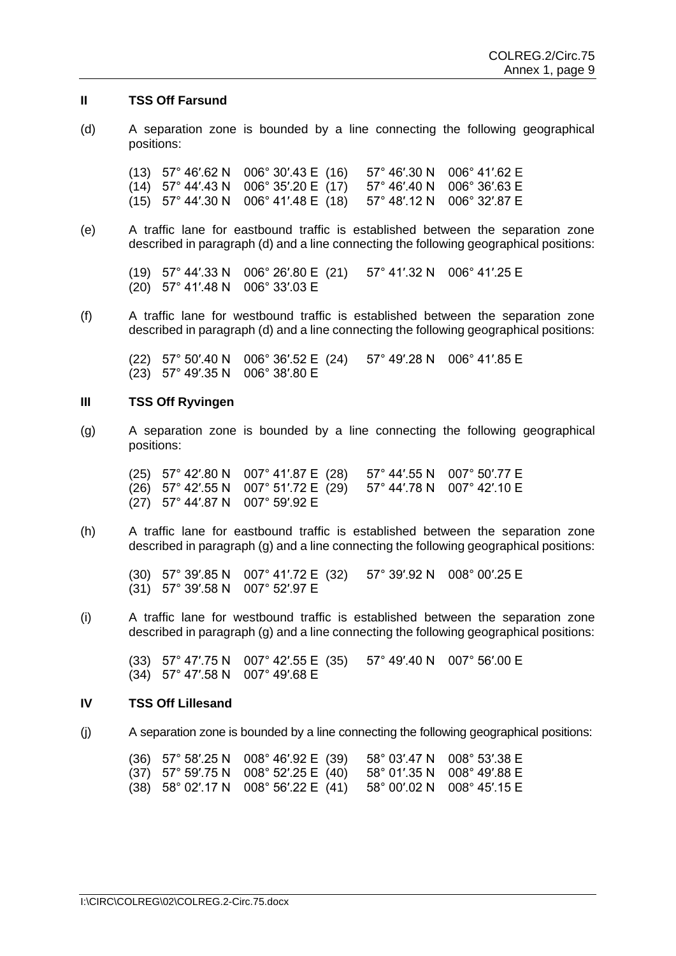#### **II TSS Off Farsund**

(d) A separation zone is bounded by a line connecting the following geographical positions:

(13) 57° 46′.62 N 006° 30′.43 E (16) 57° 46′.30 N 006° 41′.62 E (14) 57° 44′.43 N 006° 35′.20 E (17) 57° 46′.40 N 006° 36′.63 E (15) 57° 44′.30 N 006° 41′.48 E (18) 57° 48′.12 N 006° 32′.87 E

(e) A traffic lane for eastbound traffic is established between the separation zone described in paragraph (d) and a line connecting the following geographical positions:

(19) 57° 44′.33 N 006° 26′.80 E (21) 57° 41′.32 N 006° 41′.25 E (20) 57° 41′.48 N 006° 33′.03 E

(f) A traffic lane for westbound traffic is established between the separation zone described in paragraph (d) and a line connecting the following geographical positions:

(22) 57° 50′.40 N 006° 36′.52 E (24) 57° 49′.28 N 006° 41′.85 E (23) 57° 49′.35 N 006° 38′.80 E

#### **III TSS Off Ryvingen**

(g) A separation zone is bounded by a line connecting the following geographical positions:

(25) 57° 42′.80 N 007° 41′.87 E (28) 57° 44′.55 N 007° 50′.77 E (26) 57° 42′.55 N 007° 51′.72 E (29) 57° 44′.78 N 007° 42′.10 E (27) 57° 44′.87 N 007° 59′.92 E

(h) A traffic lane for eastbound traffic is established between the separation zone described in paragraph (g) and a line connecting the following geographical positions:

(30) 57° 39′.85 N 007° 41′.72 E (32) 57° 39′.92 N 008° 00′.25 E (31) 57° 39′.58 N 007° 52′.97 E

(i) A traffic lane for westbound traffic is established between the separation zone described in paragraph (g) and a line connecting the following geographical positions:

(33) 57° 47′.75 N 007° 42′.55 E (35) 57° 49′.40 N 007° 56′.00 E (34) 57° 47′.58 N 007° 49′.68 E

### **IV TSS Off Lillesand**

(j) A separation zone is bounded by a line connecting the following geographical positions:

|  | (36) 57° 58'.25 N 008° 46'.92 E (39) 58° 03'.47 N 008° 53'.38 E   |  |
|--|-------------------------------------------------------------------|--|
|  | (37) 57° 59'.75 N 008° 52'.25 E (40) 58° 01'.35 N 008° 49'.88 E   |  |
|  | $(38)$ 58° 02'.17 N 008° 56'.22 E (41) 58° 00'.02 N 008° 45'.15 E |  |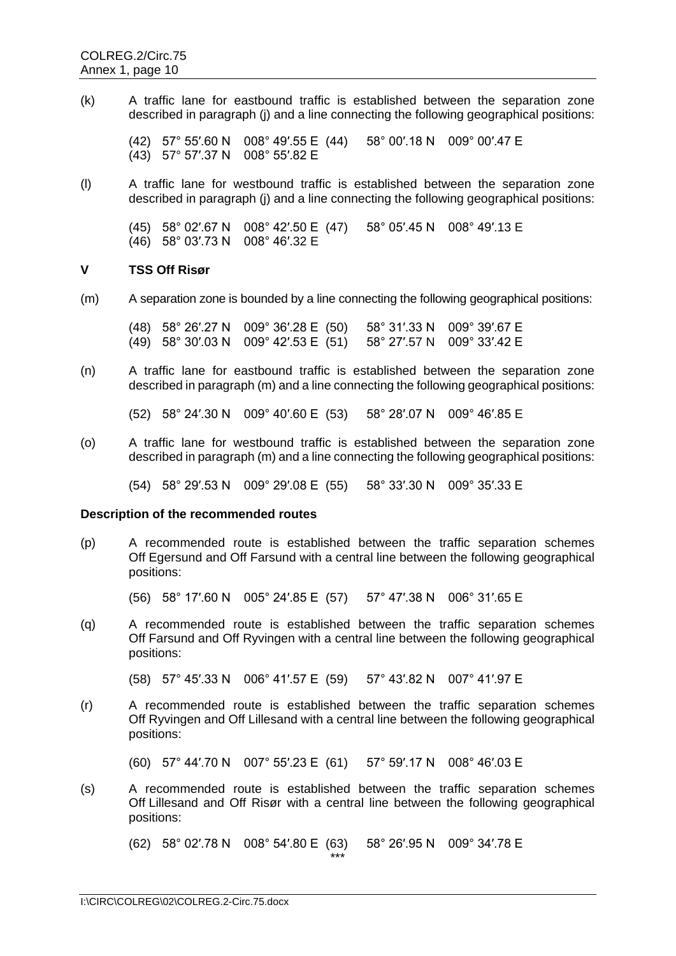(k) A traffic lane for eastbound traffic is established between the separation zone described in paragraph (j) and a line connecting the following geographical positions:

(42) 57° 55′.60 N 008° 49′.55 E (44) 58° 00′.18 N 009° 00′.47 E (43) 57° 57′.37 N 008° 55′.82 E

(l) A traffic lane for westbound traffic is established between the separation zone described in paragraph (j) and a line connecting the following geographical positions:

(45) 58° 02′.67 N 008° 42′.50 E (47) 58° 05′.45 N 008° 49′.13 E (46) 58° 03′.73 N 008° 46′.32 E

### **V TSS Off Risør**

(m) A separation zone is bounded by a line connecting the following geographical positions:

(48) 58° 26′.27 N 009° 36′.28 E (50) 58° 31′.33 N 009° 39′.67 E (49) 58° 30′.03 N 009° 42′.53 E (51) 58° 27′.57 N 009° 33′.42 E

(n) A traffic lane for eastbound traffic is established between the separation zone described in paragraph (m) and a line connecting the following geographical positions:

(52) 58° 24′.30 N 009° 40′.60 E (53) 58° 28′.07 N 009° 46′.85 E

(o) A traffic lane for westbound traffic is established between the separation zone described in paragraph (m) and a line connecting the following geographical positions:

(54) 58° 29′.53 N 009° 29′.08 E (55) 58° 33′.30 N 009° 35′.33 E

#### **Description of the recommended routes**

(p) A recommended route is established between the traffic separation schemes Off Egersund and Off Farsund with a central line between the following geographical positions:

(56) 58° 17′.60 N 005° 24′.85 E (57) 57° 47′.38 N 006° 31′.65 E

(q) A recommended route is established between the traffic separation schemes Off Farsund and Off Ryvingen with a central line between the following geographical positions:

(58) 57° 45′.33 N 006° 41′.57 E (59) 57° 43′.82 N 007° 41′.97 E

(r) A recommended route is established between the traffic separation schemes Off Ryvingen and Off Lillesand with a central line between the following geographical positions:

(60) 57° 44′.70 N 007° 55′.23 E (61) 57° 59′.17 N 008° 46′.03 E

(s) A recommended route is established between the traffic separation schemes Off Lillesand and Off Risør with a central line between the following geographical positions:

(62) 58° 02′.78 N 008° 54′.80 E (63) 58° 26′.95 N 009° 34′.78 E

\*\*\*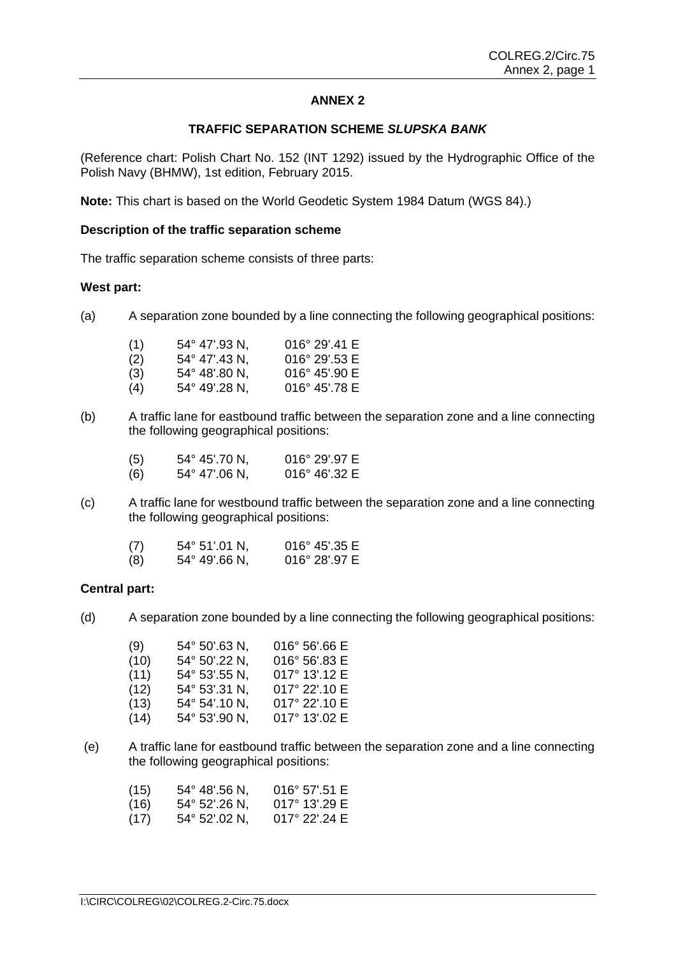# **ANNEX 2**

### **TRAFFIC SEPARATION SCHEME** *SLUPSKA BANK*

(Reference chart: Polish Chart No. 152 (INT 1292) issued by the Hydrographic Office of the Polish Navy (BHMW), 1st edition, February 2015.

**Note:** This chart is based on the World Geodetic System 1984 Datum (WGS 84).)

#### **Description of the traffic separation scheme**

The traffic separation scheme consists of three parts:

#### **West part:**

(a) A separation zone bounded by a line connecting the following geographical positions:

| (1) | 54° 47'.93 N,          | $016^{\circ}$ 29'.41 E |
|-----|------------------------|------------------------|
| (2) | $54^{\circ}$ 47'.43 N, | $016^{\circ}$ 29'.53 E |
| (3) | $54^{\circ}$ 48'.80 N, | $016^{\circ}$ 45'.90 E |
| (4) | 54° 49'.28 N,          | $016^{\circ}$ 45'.78 E |

(b) A traffic lane for eastbound traffic between the separation zone and a line connecting the following geographical positions:

| (5)    | $54^{\circ}$ 45'.70 N, | $016^{\circ}$ 29'.97 E |
|--------|------------------------|------------------------|
| $\sim$ | <b>F 40 4 71 00 NH</b> | $0.400 \times 10^{10}$ |

- (6) 54° 47'.06 N, 016° 46'.32 E
- (c) A traffic lane for westbound traffic between the separation zone and a line connecting the following geographical positions:

| (7) | $54^{\circ}$ 51'.01 N, | $016^{\circ}$ 45'.35 E |
|-----|------------------------|------------------------|
| (8) | $54^{\circ}$ 49'.66 N, | $016^{\circ}$ 28'.97 E |

#### **Central part:**

(d) A separation zone bounded by a line connecting the following geographical positions:

| (9)  | 54° 50'.63 N, | 016° 56'.66 E |
|------|---------------|---------------|
| (10) | 54° 50'.22 N, | 016° 56'.83 E |
| (11) | 54° 53'.55 N, | 017° 13'.12 E |
| (12) | 54° 53'.31 N, | 017° 22'.10 E |
| (13) | 54° 54'.10 N, | 017° 22'.10 E |
| (14) | 54° 53'.90 N, | 017° 13'.02 E |

(e) A traffic lane for eastbound traffic between the separation zone and a line connecting the following geographical positions:

| (15) | $54^{\circ}$ 48'.56 N, | $016^{\circ}$ 57'.51 E |
|------|------------------------|------------------------|
| (16) | $54^{\circ}$ 52'.26 N, | $017^{\circ}$ 13'.29 E |

(17) 54° 52'.02 N, 017° 22'.24 E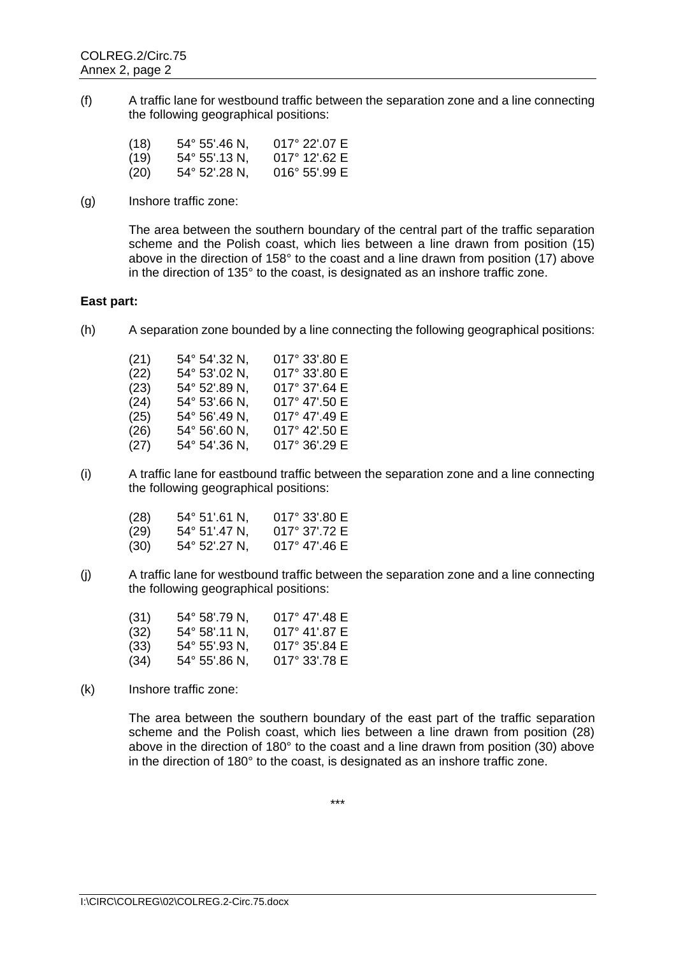(f) A traffic lane for westbound traffic between the separation zone and a line connecting the following geographical positions:

| (18) | 54° 55'.46 N. | $017^{\circ}$ 22'.07 E |
|------|---------------|------------------------|
| (19) | 54° 55'.13 N. | $017^{\circ}$ 12' 62 E |
| (20) | 54° 52'.28 N. | $016^{\circ}$ 55'.99 E |

(g) Inshore traffic zone:

The area between the southern boundary of the central part of the traffic separation scheme and the Polish coast, which lies between a line drawn from position (15) above in the direction of 158° to the coast and a line drawn from position (17) above in the direction of 135° to the coast, is designated as an inshore traffic zone.

# **East part:**

(h) A separation zone bounded by a line connecting the following geographical positions:

| (21) | 54° 54'.32 N, | 017° 33'.80 E |
|------|---------------|---------------|
| (22) | 54° 53'.02 N, | 017° 33'.80 E |
| (23) | 54° 52'.89 N, | 017° 37'.64 E |
| (24) | 54° 53'.66 N, | 017° 47'.50 E |
| (25) | 54° 56'.49 N. | 017° 47'.49 E |
| (26) | 54° 56'.60 N, | 017° 42'.50 E |
| (27) | 54° 54'.36 N, | 017° 36'.29 E |

(i) A traffic lane for eastbound traffic between the separation zone and a line connecting the following geographical positions:

| (28) | 54° 51'.61 N.          | $017^{\circ}$ 33'.80 E |
|------|------------------------|------------------------|
| (29) | $54^{\circ}$ 51'.47 N. | $017^{\circ}$ 37' 72 E |
| (30) | 54° 52'.27 N.          | $017^{\circ}$ 47'.46 E |

(j) A traffic lane for westbound traffic between the separation zone and a line connecting the following geographical positions:

| (31) | $54^{\circ}$ 58'.79 N, | $017^{\circ}$ 47' 48 E |
|------|------------------------|------------------------|
| (32) | $54^{\circ}$ 58'.11 N. | $017^{\circ}$ 41'.87 E |
| (33) | $54^{\circ}$ 55'.93 N, | $017^{\circ}$ 35'.84 E |
| (34) | $54^{\circ}$ 55'.86 N, | $017^{\circ}$ 33'.78 E |

(k) Inshore traffic zone:

The area between the southern boundary of the east part of the traffic separation scheme and the Polish coast, which lies between a line drawn from position (28) above in the direction of 180° to the coast and a line drawn from position (30) above in the direction of 180° to the coast, is designated as an inshore traffic zone.

\*\*\*